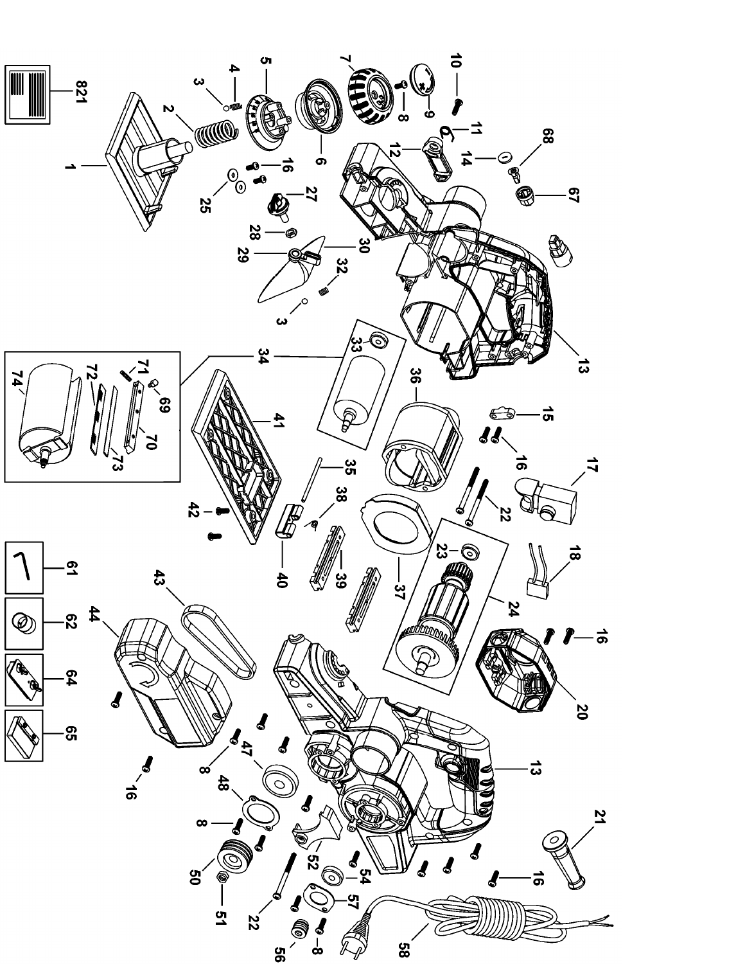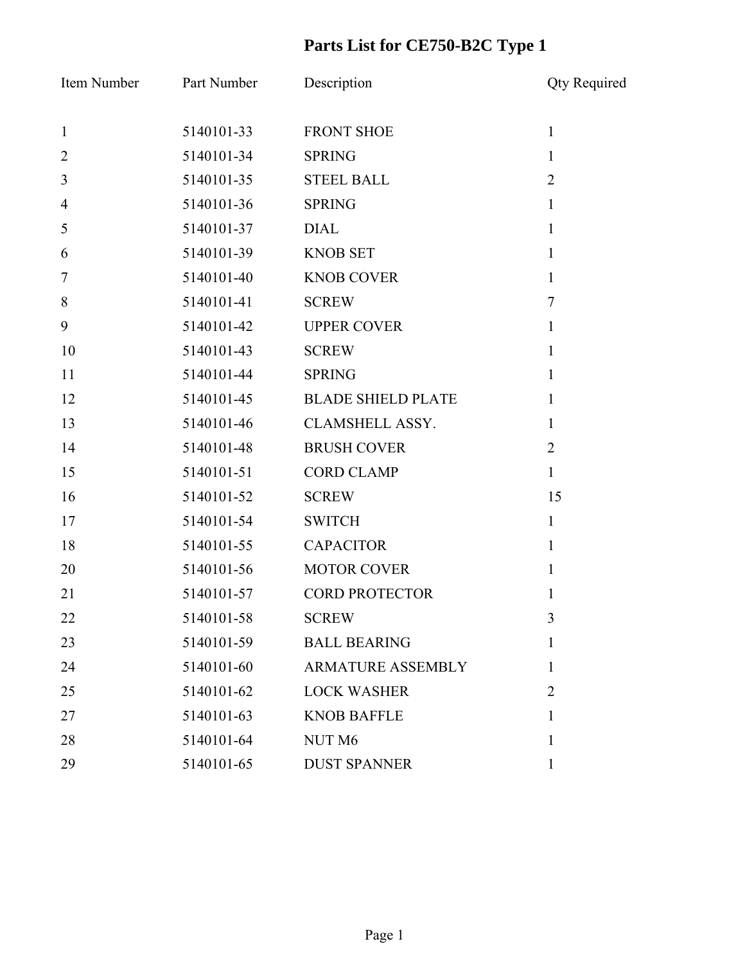## **Parts List for CE750-B2C Type 1**

| Item Number    | Part Number | Description               | <b>Qty Required</b> |
|----------------|-------------|---------------------------|---------------------|
| $\mathbf{1}$   | 5140101-33  | <b>FRONT SHOE</b>         | $\mathbf{1}$        |
| $\overline{2}$ | 5140101-34  | <b>SPRING</b>             | $\mathbf{1}$        |
| 3              | 5140101-35  | <b>STEEL BALL</b>         | $\overline{2}$      |
| $\overline{4}$ | 5140101-36  | <b>SPRING</b>             | $\mathbf{1}$        |
| 5              | 5140101-37  | <b>DIAL</b>               | $\mathbf{1}$        |
| 6              | 5140101-39  | <b>KNOB SET</b>           | $\mathbf{1}$        |
| $\tau$         | 5140101-40  | <b>KNOB COVER</b>         | $\mathbf{1}$        |
| $8\,$          | 5140101-41  | <b>SCREW</b>              | $\tau$              |
| 9              | 5140101-42  | <b>UPPER COVER</b>        | $\mathbf{1}$        |
| 10             | 5140101-43  | <b>SCREW</b>              | $\mathbf{1}$        |
| 11             | 5140101-44  | <b>SPRING</b>             | $\mathbf{1}$        |
| 12             | 5140101-45  | <b>BLADE SHIELD PLATE</b> | $\mathbf{1}$        |
| 13             | 5140101-46  | CLAMSHELL ASSY.           | $\mathbf{1}$        |
| 14             | 5140101-48  | <b>BRUSH COVER</b>        | $\overline{2}$      |
| 15             | 5140101-51  | <b>CORD CLAMP</b>         | $\mathbf{1}$        |
| 16             | 5140101-52  | <b>SCREW</b>              | 15                  |
| 17             | 5140101-54  | <b>SWITCH</b>             | $\mathbf{1}$        |
| 18             | 5140101-55  | <b>CAPACITOR</b>          | $\mathbf{1}$        |
| 20             | 5140101-56  | <b>MOTOR COVER</b>        | $\mathbf{1}$        |
| 21             | 5140101-57  | <b>CORD PROTECTOR</b>     | 1                   |
| 22             | 5140101-58  | <b>SCREW</b>              | 3                   |
| 23             | 5140101-59  | <b>BALL BEARING</b>       | 1                   |
| 24             | 5140101-60  | <b>ARMATURE ASSEMBLY</b>  | 1                   |
| 25             | 5140101-62  | <b>LOCK WASHER</b>        | $\overline{2}$      |
| 27             | 5140101-63  | <b>KNOB BAFFLE</b>        | 1                   |
| 28             | 5140101-64  | NUT M6                    | 1                   |
| 29             | 5140101-65  | <b>DUST SPANNER</b>       | $\mathbf{1}$        |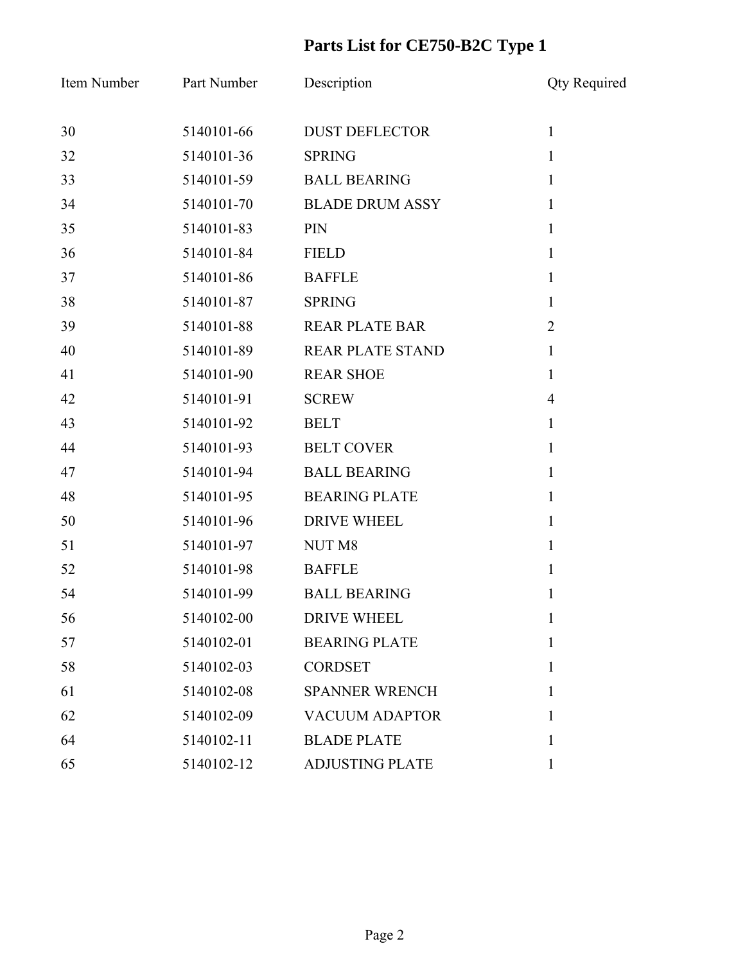## **Parts List for CE750-B2C Type 1**

| Item Number | Part Number | Description             | <b>Qty Required</b> |
|-------------|-------------|-------------------------|---------------------|
| 30          | 5140101-66  | <b>DUST DEFLECTOR</b>   | $\mathbf{1}$        |
| 32          | 5140101-36  | <b>SPRING</b>           | $\mathbf{1}$        |
| 33          | 5140101-59  | <b>BALL BEARING</b>     | $\mathbf{1}$        |
| 34          | 5140101-70  | <b>BLADE DRUM ASSY</b>  | $\mathbf{1}$        |
| 35          | 5140101-83  | <b>PIN</b>              | $\mathbf{1}$        |
| 36          | 5140101-84  | <b>FIELD</b>            | $\mathbf{1}$        |
| 37          | 5140101-86  | <b>BAFFLE</b>           | $\mathbf{1}$        |
| 38          | 5140101-87  | <b>SPRING</b>           | $\mathbf{1}$        |
| 39          | 5140101-88  | <b>REAR PLATE BAR</b>   | $\overline{2}$      |
| 40          | 5140101-89  | <b>REAR PLATE STAND</b> | $\mathbf{1}$        |
| 41          | 5140101-90  | <b>REAR SHOE</b>        | $\mathbf{1}$        |
| 42          | 5140101-91  | <b>SCREW</b>            | $\overline{4}$      |
| 43          | 5140101-92  | <b>BELT</b>             | $\mathbf{1}$        |
| 44          | 5140101-93  | <b>BELT COVER</b>       | $\mathbf{1}$        |
| 47          | 5140101-94  | <b>BALL BEARING</b>     | $\mathbf{1}$        |
| 48          | 5140101-95  | <b>BEARING PLATE</b>    | $\mathbf{1}$        |
| 50          | 5140101-96  | <b>DRIVE WHEEL</b>      | $\mathbf{1}$        |
| 51          | 5140101-97  | NUT M8                  | $\mathbf{1}$        |
| 52          | 5140101-98  | <b>BAFFLE</b>           | $\mathbf{1}$        |
| 54          | 5140101-99  | <b>BALL BEARING</b>     | 1                   |
| 56          | 5140102-00  | <b>DRIVE WHEEL</b>      | $\bf{l}$            |
| 57          | 5140102-01  | <b>BEARING PLATE</b>    | $\mathbf{1}$        |
| 58          | 5140102-03  | <b>CORDSET</b>          | 1                   |
| 61          | 5140102-08  | <b>SPANNER WRENCH</b>   | 1                   |
| 62          | 5140102-09  | <b>VACUUM ADAPTOR</b>   | $\mathbf{1}$        |
| 64          | 5140102-11  | <b>BLADE PLATE</b>      | 1                   |
| 65          | 5140102-12  | <b>ADJUSTING PLATE</b>  | $\mathbf{1}$        |